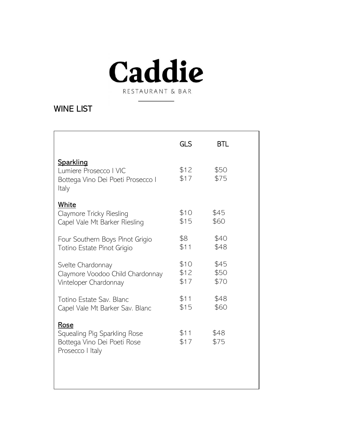

RESTAURANT & BAR

## WINE LIST

| GLS  | <b>BTL</b> |
|------|------------|
| \$12 | \$50       |
| \$17 | \$75       |
| \$10 | \$45       |
| \$15 | \$60       |
| \$8  | \$40       |
| \$11 | \$48       |
| \$10 | \$45       |
| \$12 | \$50       |
| \$17 | \$70       |
| \$11 | \$48       |
| \$15 | \$60       |
| \$11 | \$48       |
| \$17 | \$75       |
|      |            |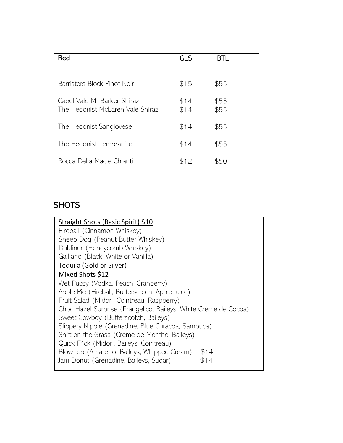| Red                                                             | GLS          | BTI.         |
|-----------------------------------------------------------------|--------------|--------------|
| Barristers Block Pinot Noir                                     | \$15         | \$55         |
| Capel Vale Mt Barker Shiraz<br>The Hedonist McLaren Vale Shiraz | \$14<br>\$14 | \$55<br>\$55 |
| The Hedonist Sangiovese                                         | \$14         | \$55         |
| The Hedonist Tempranillo                                        | \$14         | \$55         |
| Rocca Della Macie Chianti                                       | \$12         | \$50         |
|                                                                 |              |              |

## **SHOTS**

| Straight Shots (Basic Spirit) \$10                              |  |  |  |  |
|-----------------------------------------------------------------|--|--|--|--|
| Fireball (Cinnamon Whiskey)                                     |  |  |  |  |
| Sheep Dog (Peanut Butter Whiskey)                               |  |  |  |  |
| Dubliner (Honeycomb Whiskey)                                    |  |  |  |  |
| Galliano (Black, White or Vanilla)                              |  |  |  |  |
| Tequila (Gold or Silver)                                        |  |  |  |  |
| Mixed Shots \$12                                                |  |  |  |  |
| Wet Pussy (Vodka, Peach, Cranberry)                             |  |  |  |  |
| Apple Pie (Fireball, Butterscotch, Apple Juice)                 |  |  |  |  |
| Fruit Salad (Midori, Cointreau, Raspberry)                      |  |  |  |  |
| Choc Hazel Surprise (Frangelico, Baileys, White Crème de Cocoa) |  |  |  |  |
| Sweet Cowboy (Butterscotch, Baileys)                            |  |  |  |  |
| Slippery Nipple (Grenadine, Blue Curacoa, Sambuca)              |  |  |  |  |
| Sh <sup>*</sup> t on the Grass (Crème de Menthe, Baileys)       |  |  |  |  |
| Quick F*ck (Midori, Baileys, Cointreau)                         |  |  |  |  |
| Blow Job (Amaretto, Baileys, Whipped Cream)<br>\$14             |  |  |  |  |
| Jam Donut (Grenadine, Baileys, Sugar)<br>\$14                   |  |  |  |  |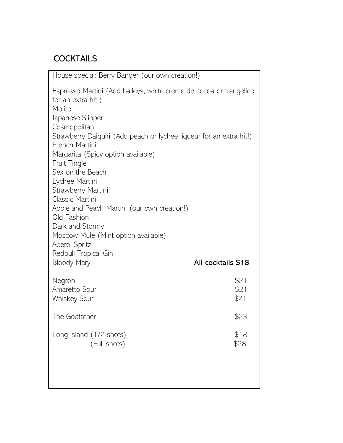## **COCKTAILS**

| House special: Berry Banger (our own creation!)                                                                                                                 |                      |  |  |
|-----------------------------------------------------------------------------------------------------------------------------------------------------------------|----------------------|--|--|
| Espresso Martini (Add baileys, white crème de cocoa or frangelico<br>for an extra hit!)<br>Mojito<br>Japanese Slipper<br>Cosmopolitan                           |                      |  |  |
| Strawberry Daiquiri (Add peach or lychee liqueur for an extra hit!)                                                                                             |                      |  |  |
| French Martini<br>Margarita (Spicy option available)<br>Fruit Tingle                                                                                            |                      |  |  |
| Sex on the Beach<br>Lychee Martini<br>Strawberry Martini                                                                                                        |                      |  |  |
| Classic Martini<br>Apple and Peach Martini (our own creation!)<br>Old Fashion<br>Dark and Stormy<br>Moscow Mule (Mint option available)<br><b>Aperol Spritz</b> |                      |  |  |
| Redbull Tropical Gin<br><b>Bloody Mary</b>                                                                                                                      | All cocktails \$18   |  |  |
| Negroni<br>Amaretto Sour<br><b>Whiskey Sour</b>                                                                                                                 | \$21<br>\$21<br>\$21 |  |  |
| The Godfather                                                                                                                                                   | \$23                 |  |  |
| Long Island (1/2 shots)<br>(Full shots)                                                                                                                         | \$18<br>\$28         |  |  |
|                                                                                                                                                                 |                      |  |  |
|                                                                                                                                                                 |                      |  |  |